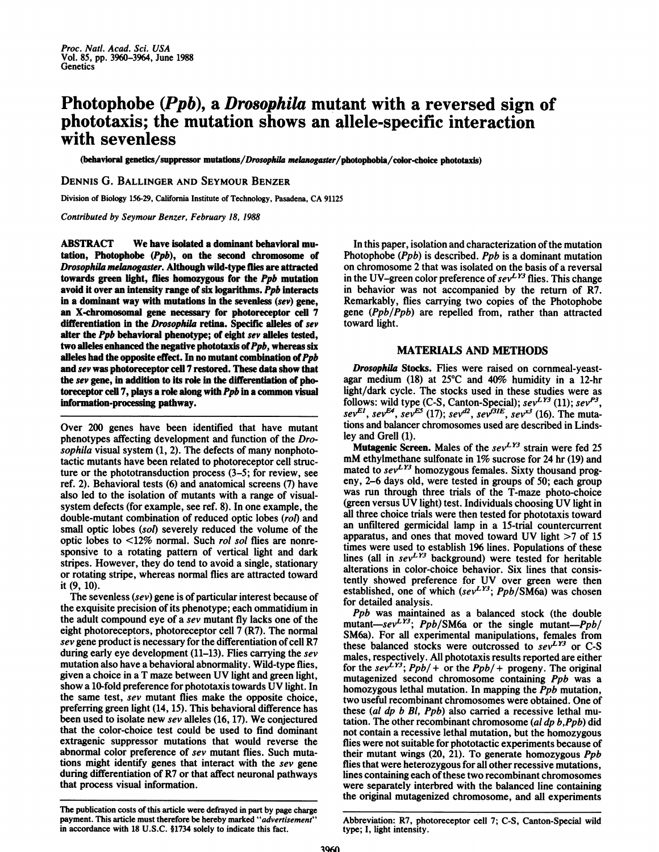# Photophobe (Ppb), a Drosophila mutant with a reversed sign of phototaxis; the mutation shows an allele-specific interaction with sevenless

(behavioral genetics/suppressor mutations/Drosophila melanogaster/photophobia/color-choice phototaxis)

#### DENNIS G. BALLINGER AND SEYMOUR BENZER

Division of Biology 156-29, California Institute of Technology, Pasadena, CA <sup>91125</sup>

Contributed by Seymour Benzer, February 18, 1988

ABSTRACT We have isolated <sup>a</sup> dominant behavioral mutation, Photophobe (Ppb), on the second chromosome of Drosophila melanogaster. Although wild-type flies are attracted towards green light, flies homozygous for the Ppb mutation avoid it over an intensity range of six logarithms. Ppb interacts in a dominant way with mutations in the sevenless (sev) gene, an X-chromosomal gene necessary for photoreceptor cell 7 differentiation in the Drosophila retina. Specific alleles of sev alter the Ppb behavioral phenotype; of eight sev alleles tested, two alleles enhanced the negative phototaxis of  $Ppb$ , whereas six alleles had the opposite effect. In no mutant combination of  $Ppb$ and sev was photoreceptor cell 7 restored. These data show that the sev gene, in addition to its role in the differentiation of photoreceptor cell 7, plays a role along with Ppb in a common visual information-processing pathway.

Over 200 genes have been identified that have mutant phenotypes affecting development and function of the Drosophila visual system  $(1, 2)$ . The defects of many nonphototactic mutants have been related to photoreceptor cell structure or the phototransduction process (3-5; for review, see ref. 2). Behavioral tests (6) and anatomical screens (7) have also led to the isolation of mutants with a range of visualsystem defects (for example, see ref. 8). In one example, the double-mutant combination of reduced optic lobes (rol) and small optic lobes (sol) severely reduced the volume of the optic lobes to <12% normal. Such rol sol flies are nonresponsive to a rotating pattern of vertical light and dark stripes. However, they do tend to avoid a single, stationary or rotating stripe, whereas normal flies are attracted toward it (9, 10).

The sevenless (sev) gene is of particular interest because of the exquisite precision of its phenotype; each ommatidium in the adult compound eye of a sev mutant fly lacks one of the eight photoreceptors, photoreceptor cell 7 (R7). The normal sev gene product is necessary for the differentiation of cell R7 during early eye development (11-13). Flies carrying the sev mutation also have a behavioral abnormality. Wild-type flies, given <sup>a</sup> choice in <sup>a</sup> T maze between UV light and green light, show <sup>a</sup> 10-fold preference for phototaxis towards UV light. In the same test, sev mutant flies make the opposite choice, preferring green light (14, 15). This behavioral difference has been used to isolate new sev alleles (16, 17). We conjectured that the color-choice test could be used to find dominant extragenic suppressor mutations that would reverse the abnormal color preference of sev mutant flies. Such mutations might identify genes that interact with the sev gene during differentiation of R7 or that affect neuronal pathways that process visual information.

The publication costs of this article were defrayed in part by page charge payment. This article must therefore be hereby marked "advertisement" in accordance with 18 U.S.C. §1734 solely to indicate this fact.

In this paper, isolation and characterization of the mutation Photophobe (Ppb) is described. Ppb is a dominant mutation on chromosome 2 that was isolated on the basis of a reversal in the UV-green color preference of  $sev^{LY3}$  flies. This change in behavior was not accompanied by the return of R7. Remarkably, flies carrying two copies of the Photophobe gene (Ppb/Ppb) are repelled from, rather than attracted toward light.

### MATERIALS AND METHODS

Drosophila Stocks. Flies were raised on cornmeal-yeastagar medium (18) at  $25^{\circ}$ C and 40% humidity in a 12-hr light/dark cycle. The stocks used in these studies were as follows: wild type (C-S, Canton-Special);  $sev^{LY3}$  (11);  $sev^{P3}$ , sev<sup>EI</sup>, sev<sup>E4</sup>, sev<sup>E3</sup> (17); sev<sup>22</sup>, sev<sup>131E</sup>, sev<sup>23</sup> (16). The mutations and balancer chromosomes used are described in Lindsley and Grell (1).

Mutagenic Screen. Males of the  $sev<sup>LY3</sup>$  strain were fed 25 mM ethylmethane sulfonate in 1% sucrose for <sup>24</sup> hr (19) and mated to  $sev<sup>LY3</sup>$  homozygous females. Sixty thousand progeny, 2-6 days old, were tested in groups of 50; each group was run through three trials of the T-maze photo-choice (green versus UV light) test. Individuals choosing UV light in all three choice trials were then tested for phototaxis toward an unfiltered germicidal lamp in a 15-trial countercurrent apparatus, and ones that moved toward UV light  $>7$  of 15 times were used to establish 196 lines. Populations of these lines (all in  $sev^{LY3}$  background) were tested for heritable alterations in color-choice behavior. Six lines that consistently showed preference for UV over green were then established, one of which (sev<sup>LT3</sup>;  $Ppb/SM6a$ ) was chosen for detailed analysis.

Ppb was maintained as a balanced stock (the double mutant-sev<sup>LY3</sup>; Ppb/SM6a or the single mutant-Ppb/ SM6a). For all experimental manipulations, females from these balanced stocks were outcrossed to  $sev^{LY3}$  or C-S males, respectively. All phototaxis results reported are either for the sev<sup>LY3</sup>; Ppb/ + or the Ppb/ + progeny. The original mutagenized second chromosome containing Ppb was a homozygous lethal mutation. In mapping the *Ppb* mutation, two useful recombinant chromosomes were obtained. One of these (al dp b Bi, Ppb) also carried a recessive lethal mutation. The other recombinant chromosome (al dp b,Ppb) did not contain a recessive lethal mutation, but the homozygous flies were not suitable for phototactic experiments because of their mutant wings (20, 21). To generate homozygous Ppb flies that were heterozygous for all other recessive mutations, lines containing each of these two recombinant chromosomes were separately interbred with the balanced line containing the original mutagenized chromosome, and all experiments

Abbreviation: R7, photoreceptor cell 7; C-S, Canton-Special wild type; I, light intensity.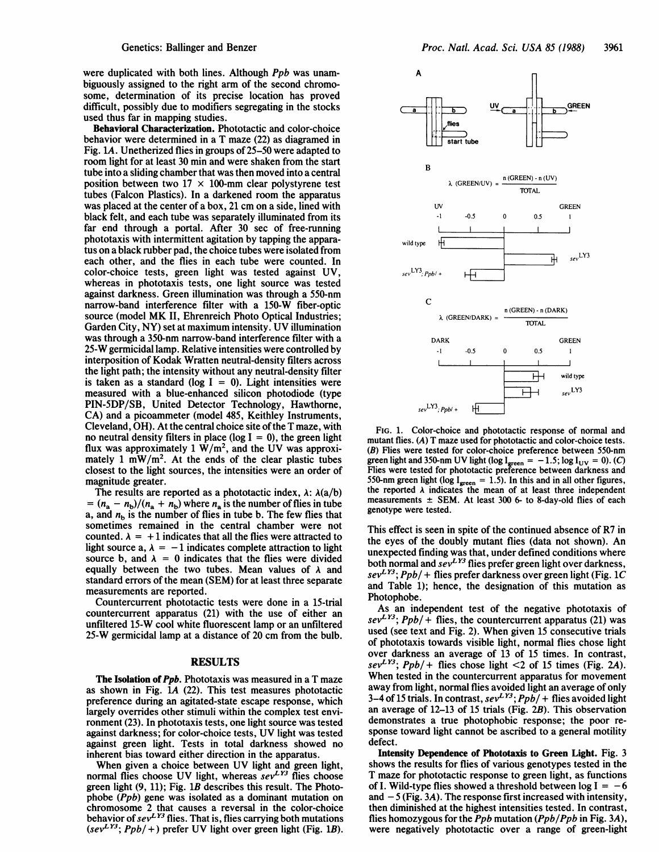were duplicated with both lines. Although *Ppb* was unambiguously assigned to the right arm of the second chromosome, determination of its precise location has proved difficult, possibly due to modifiers segregating in the stocks used thus far in mapping studies.

Behavioral Characterization. Phototactic and color-choice behavior were determined in a T maze (22) as diagramed in Fig. lA. Unetherized flies in groups of 25-50 were adapted to room light for at least 30 min and were shaken from the start tube into a sliding chamber that was then moved into a central position between two  $17 \times 100$ -mm clear polystyrene test tubes (Falcon Plastics). In a darkened room the apparatus was placed at the center of a box, <sup>21</sup> cm on a side, lined with black felt, and each tube was separately illuminated from its far end through a portal. After 30 sec of free-running phototaxis with intermittent agitation by tapping the apparatus on a black rubber pad, the choice tubes were isolated from each other, and the flies in each tube were counted. In color-choice tests, green light was tested against UV, whereas in phototaxis tests, one light source was tested against darkness. Green illumination was through a 550-nm narrow-band interference filter with a 150-W fiber-optic source (model MK II, Ehrenreich Photo Optical Industries; Garden City, NY) set at maximum intensity. UV illumination was through a 350-nm narrow-band interference filter with a 25-W germicidal lamp. Relative intensities were controlled by interposition of Kodak Wratten neutral-density filters across the light path; the intensity without any neutral-density filter is taken as a standard ( $log I = 0$ ). Light intensities were measured with a blue-enhanced silicon photodiode (type PIN-5DP/SB, United Detector Technology, Hawthorne, CA) and a picoammeter (model 485, Keithley Instruments, Cleveland, OH). At the central choice site of the T maze, with no neutral density filters in place (log  $I = 0$ ), the green light flux was approximately  $1 \text{ W/m}^2$ , and the UV was approximately 1 mW/m<sup>2</sup>. At the ends of the clear plastic tubes closest to the light sources, the intensities were an order of magnitude greater.

The results are reported as a phototactic index,  $\lambda$ :  $\lambda$ (a/b)  $= (n_a - n_b)/(n_a + n_b)$  where  $n_a$  is the number of flies in tube a, and  $n<sub>b</sub>$  is the number of flies in tube b. The few flies that sometimes remained in the central chamber were not counted.  $\lambda = +1$  indicates that all the flies were attracted to light source a,  $\lambda = -1$  indicates complete attraction to light source b, and  $\lambda = 0$  indicates that the flies were divided equally between the two tubes. Mean values of  $\lambda$  and standard errors of the mean (SEM) for at least three separate measurements are reported.

Countercurrent phototactic tests were done in a 15-trial countercurrent apparatus (21) with the use of either an unfiltered 15-W cool white fluorescent lamp or an unfiltered 25-W germicidal lamp at a distance of 20 cm from the bulb.

## RESULTS

The Isolation of *Ppb*. Phototaxis was measured in a T maze as shown in Fig. LA (22). This test measures phototactic preference during an agitated-state escape response, which largely overrides other stimuli within the complex test environment (23). In phototaxis tests, one light source was tested against darkness; for color-choice tests, UV light was tested against green light. Tests in total darkness showed no inherent bias toward either direction in the apparatus.

When given <sup>a</sup> choice between UV light and green light, normal flies choose UV light, whereas  $sev^{LY3}$  flies choose green light (9, 11); Fig. lB describes this result. The Photophobe (Ppb) gene was isolated as a dominant mutation on chromosome 2 that causes a reversal in the color-choice behavior of  $sev^{LY3}$  flies. That is, flies carrying both mutations  $(sev<sup>LY3</sup>; Ppb/+)$  prefer UV light over green light (Fig. 1B).



FIG. 1. Color-choice and phototactic response of normal and mutant flies. (A) T maze used for phototactic and color-choice tests. (B) Flies were tested for color-choice preference between 550-nm green light and 350-nm UV light (log  $I<sub>green</sub> = -1.5$ ; log  $I<sub>UV</sub> = 0$ ). (C) Flies were tested for phototactic preference between darkness and 550-nm green light (log  $I_{green} = 1.5$ ). In this and in all other figures, the reported  $\lambda$  indicates the mean of at least three independent measurements  $\pm$  SEM. At least 300 6- to 8-day-old flies of each genotype were tested.

This effect is seen in spite of the continued absence of R7 in the eyes of the doubly mutant flies (data not shown). An unexpected finding was that, under defined conditions where both normal and  $sev^{LY3}$  flies prefer green light over darkness,  $sev^{L}^{13}$ ;  $Ppb/$  + flies prefer darkness over green light (Fig. 1C) and Table 1); hence, the designation of this mutation as Photophobe.

As an independent test of the negative phototaxis of  $sev<sup>LY3</sup>$ ;  $Ppb/ +$  flies, the countercurrent apparatus (21) was used (see text and Fig. 2). When given <sup>15</sup> consecutive trials of phototaxis towards visible light, normal flies chose light over darkness an average of 13 of 15 times. In contrast, sev<sup>LY3</sup>; Ppb/+ flies chose light <2 of 15 times (Fig. 2A). When tested in the countercurrent apparatus for movement away from light, normal flies avoided light an average of only 3-4 of 15 trials. In contrast,  $sev<sup>LY3</sup>$ ;  $Ppb/ +$  flies avoided light an average of 12-13 of 15 trials (Fig. 2B). This observation demonstrates a true photophobic response; the poor response toward light cannot be ascribed to a general motility defect.

Intensity Dependence of Phototaxis to Green Light. Fig. 3 shows the results for flies of various genotypes tested in the T maze for phototactic response to green light, as functions of I. Wild-type flies showed a threshold between log  $I = -6$ and  $-5$  (Fig. 3A). The response first increased with intensity, then diminished at the highest intensities tested. In contrast, flies homozygous for the *Ppb* mutation  $(Ppb/Ppb)$  in Fig. 3A), were negatively phototactic over a range of green-light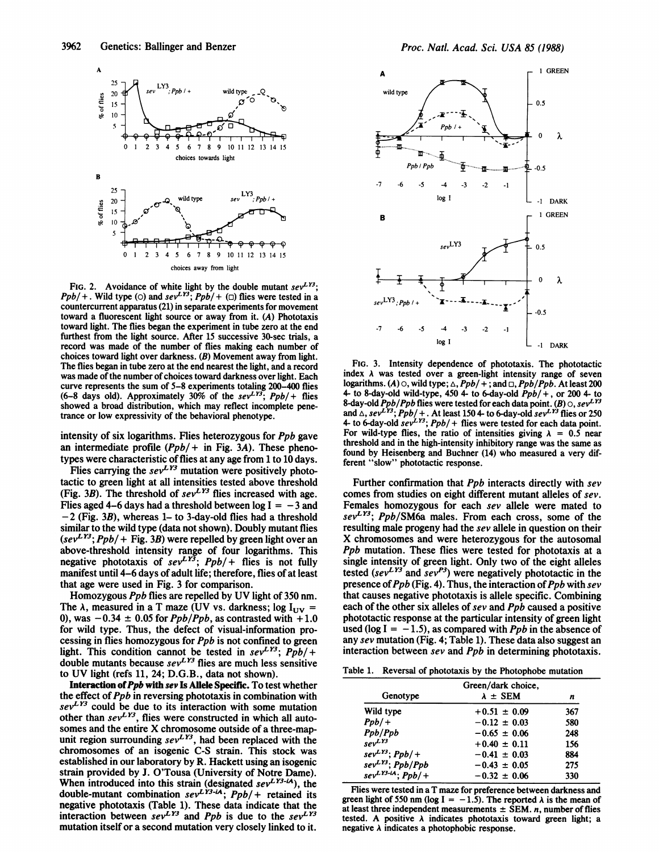

FIG. 2. Avoidance of white light by the double mutant  $sev^{LY3}$ ;  $Ppb/$  + . Wild type (o) and sev<sup>LY3</sup>;  $Ppb/$  + ( $\Box$ ) flies were tested in a countercurrent apparatus (21) in separate experiments for movement toward a fluorescent light source or away from it. (A) Phototaxis toward light. The flies began the experiment in tube zero at the end furthest from the light source. After 15 successive 30-sec trials, a record was made of the number of flies making each number of choices toward light over darkness. (B) Movement away from light. The flies began in tube zero at the end nearest the light, and a record was made of the number of choices toward darkness over light. Each curve represents the sum of 5-8 experiments totaling 200-400 flies (6-8 days old). Approximately 30% of the  $sev^{LY3}$ ;  $Ppb/+$  flies showed a broad distribution, which may reflect incomplete penetrance or low expressivity of the behavioral phenotype.

intensity of six logarithms. Flies heterozygous for Ppb gave an intermediate profile  $(Ppb/ +$  in Fig. 3A). These phenotypes were characteristic of flies at any age from 1 to 10 days.

Flies carrying the  $sev^{LY3}$  mutation were positively phototactic to green light at all intensities tested above threshold (Fig. 3B). The threshold of  $sev^{LY3}$  flies increased with age. Flies aged 4–6 days had a threshold between  $log I = -3$  and  $-2$  (Fig. 3B), whereas 1– to 3-day-old flies had a threshold similar to the wild type (data not shown). Doubly mutant flies  $(sev^{LY3};Ppb/$  + Fig. 3B) were repelled by green light over an above-threshold intensity range of four logarithms. This negative phototaxis of sev<sup>LY3</sup>;  $Ppb/$  flies is not fully manifest until 4-6 days of adult life; therefore, flies of at least that age were used in Fig. 3 for comparison.

Homozygous Ppb flies are repelled by UV light of <sup>350</sup> nm. The  $\lambda$ , measured in a T maze (UV vs. darkness; log  $I_{UV}$  = 0), was  $-0.34 \pm 0.05$  for *Ppb*/*Ppb*, as contrasted with  $+1.0$ for wild type. Thus, the defect of visual-information processing in flies homozygous for Ppb is not confined to green light. This condition cannot be tested in  $sev^{L}^{13}$ ;  $Ppb/+$ double mutants because  $sev^{L}$ <sup>3</sup> flies are much less sensitive to UV light (refs 11, 24; D.G.B., data not shown).

Interaction of Ppb with sev Is Allele Specific. To test whether the effect of  $Ppb$  in reversing phototaxis in combination with  $sev<sup>LY3</sup>$  could be due to its interaction with some mutation other than  $sev^{LY3}$ , flies were constructed in which all autosomes and the entire X chromosome outside of <sup>a</sup> three-mapunit region surrounding  $sev^{LY3}$ , had been replaced with the chromosomes of an isogenic C-S strain. This stock was established in our laboratory by R. Hackett using an isogenic strain provided by J. O'Tousa (University of Notre Dame). When introduced into this strain (designated  $sev<sup>LY3-iA</sup>$ ), the double-mutant combination  $sev<sup>LY3-iA</sup>$ ;  $Ppb/$  + retained its negative phototaxis (Table 1). These data indicate that the interaction between sev<sup>LT</sup> and Ppb is due to the sev<sup>LT3</sup> mutation itself or a second mutation very closely linked to it.



FIG. 3. Intensity dependence of phototaxis. The phototactic index  $\lambda$  was tested over a green-light intensity range of seven logarithms. (A)  $\circ$ , wild type;  $\triangle$ ,  $Ppb/ + \frac{1}{2}$ ; and  $\Box$ ,  $Ppb/Ppb$ . At least 200 4- to 8-day-old wild-type, 450 4- to 6-day-old  $Ppb/+$ , or 200 4- to 8-day-old  $Ppb/Ppb$  flies were tested for each data point. (B)  $\circ$ , sev $^{LY3}$ and  $\triangle$ , sev<sup>LY3</sup>; Ppb/ + . At least 150 4- to 6-day-old sev<sup>LY3</sup> flies or 250 4- to 6-day-old  $sev^{L}^{1/3}$ ;  $Ppb/$  + flies were tested for each data point. For wild-type flies, the ratio of intensities giving  $\lambda = 0.5$  near threshold and in the high-intensity inhibitory range was the same as found by Heisenberg and Buchner (14) who measured a very different "slow" phototactic response.

Further confirmation that *Ppb* interacts directly with sev comes from studies on eight different mutant alleles of sev. Females homozygous for each sev allele were mated to  $sev<sup>LY3</sup>$ ; Ppb/SM6a males. From each cross, some of the resulting male progeny had the sev allele in question on their X chromosomes and were heterozygous for the autosomal Ppb mutation. These flies were tested for phototaxis at a single intensity of green light. Only two of the eight alleles tested (sev<sup>LT</sup> and sev<sup>P3</sup>) were negatively phototactic in the presence of  $Ppb$  (Fig. 4). Thus, the interaction of  $Ppb$  with sev that causes negative phototaxis is allele specific. Combining each of the other six alleles of sev and Ppb caused a positive phototactic response at the particular intensity of green light used (log I =  $-1.5$ ), as compared with *Ppb* in the absence of any sev mutation (Fig. 4; Table 1). These data also suggest an interaction between sev and Ppb in determining phototaxis.

Table 1. Reversal of phototaxis by the Photophobe mutation

| Genotype                 | Green/dark choice.<br>$\lambda \pm$ SEM | n   |
|--------------------------|-----------------------------------------|-----|
| Wild type                | $+0.51 \pm 0.09$                        | 367 |
| $Ppb/+$                  | $-0.12 \pm 0.03$                        | 580 |
| Ppb/Ppb                  | $-0.65 \pm 0.06$                        | 248 |
| $sev^{LY3}$              | $+0.40 \pm 0.11$                        | 156 |
| $sevLY3$ ; $Ppb/+$       | $-0.41 \pm 0.03$                        | 884 |
| $sevLY3$ ; Ppb/Ppb       | $-0.43 \pm 0.05$                        | 275 |
| $sev^{LY3-iA}$ ; $Ppb/+$ | $-0.32 \pm 0.06$                        | 330 |

Flies were tested in a T maze for preference between darkness and green light of 550 nm (log I = -1.5). The reported  $\lambda$  is the mean of at least three independent measurements  $\pm$  SEM. *n*, number of flies tested. A positive  $\lambda$  indicates phototaxis toward green light; a negative  $\lambda$  indicates a photophobic response.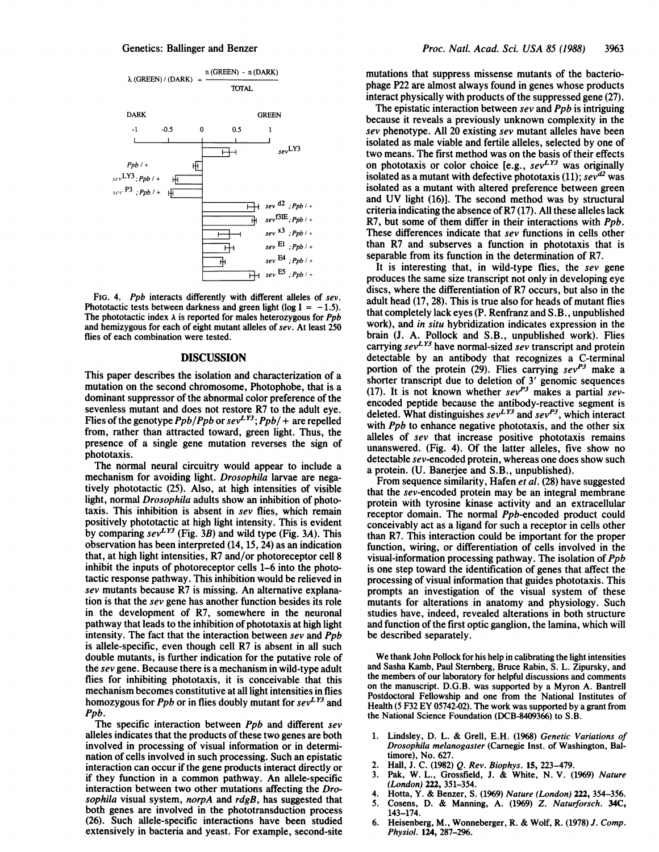

FIG. 4. Ppb interacts differently with different alleles of sev. Phototactic tests between darkness and green light (log  $I = -1.5$ ). The phototactic index  $\lambda$  is reported for males heterozygous for  $Ppb$ and hemizygous for each of eight mutant alleles of sev. At least 250 flies of each combination were tested.

### DISCUSSION

This paper describes the isolation and characterization of a mutation on the second chromosome, Photophobe, that is a dominant suppressor of the abnormal color preference of the sevenless mutant and does not restore R7 to the adult eye. Flies of the genotype  $Ppb/Ppb$  or  $sev<sup>LY3</sup>$ ;  $Ppb/$  + are repelled from, rather than attracted toward, green light. Thus, the presence of a single gene mutation reverses the sign of phototaxis.

The normal neural circuitry would appear to include a mechanism for avoiding light. Drosophila larvae are negatively phototactic (25). Also, at high intensities of visible light, normal *Drosophila* adults show an inhibition of phototaxis. This inhibition is absent in sev flies, which remain positively phototactic at high light intensity. This is evident by comparing  $sev^{L\gamma_3}$  (Fig. 3B) and wild type (Fig. 3A). This observation has been interpreted (14, 15, 24) as an indication that, at high light intensities, R7 and/or photoreceptor cell 8 inhibit the inputs of photoreceptor cells 1-6 into the phototactic response pathway. This inhibition would be relieved in sev mutants because R7 is missing. An alternative explanation is that the sev gene has another function besides its role in the development of R7, somewhere in the neuronal pathway that leads to the inhibition of phototaxis at high light intensity. The fact that the interaction between sev and Ppb is allele-specific, even though cell R7 is absent in all such double mutants, is further indication for the putative role of the sev gene. Because there is a mechanism in wild-type adult flies for inhibiting phototaxis, it is conceivable that this mechanism becomes constitutive at all light intensities in flies homozygous for Ppb or in flies doubly mutant for  $seV^{1}$  and Ppb.

The specific interaction between *Ppb* and different sev alleles indicates that the products of these two genes are both involved in processing of visual information or in determination of cells involved in such processing. Such an epistatic interaction can occur if the gene products interact directly or if they function in a common pathway. An allele-specific interaction between two other mutations affecting the Drosophila visual system, norpA and  $\frac{r}{g}$ , has suggested that both genes are involved in the phototransduction process (26). Such allele-specific interactions have been studied extensively in bacteria and yeast. For example, second-site mutations that suppress missense mutants of the bacteriophage P22 are almost always found in genes whose products interact physically with products of the suppressed gene (27).

The epistatic interaction between  $sev$  and  $Ppb$  is intriguing because it reveals a previously unknown complexity in the sev phenotype. All 20 existing sev mutant alleles have been isolated as male viable and fertile alleles, selected by one of two means. The first method was on the basis of their effects on phototaxis or color choice [e.g.,  $sev^{LY3}$  was originally isolated as a mutant with defective phototaxis (11);  $sev^{d2}$  was isolated as a mutant with altered preference between green and UV light (16)]. The second method was by structural criteria indicating the absence of R7 (17). All these alleles lack R7, but some of them differ in their interactions with *Ppb*. These differences indicate that sev functions in cells other than R7 and subserves a function in phototaxis that is separable from its function in the determination of R7.

It is interesting that, in wild-type flies, the sev gene produces the same size transcript not only in developing eye discs, where the differentiation of R7 occurs, but also in the adult head (17, 28). This is true also for heads of mutant flies that completely lack eyes (P. Renfranz and S.B., unpublished work), and in situ hybridization indicates expression in the brain (J. A. Pollock and S.B., unpublished work). Flies carrying  $sev^{2.75}$  have normal-sized  $sev$  transcript and protein detectable by an antibody that recognizes a C-terminal portion of the protein (29). Flies carrying  $sev^{P3}$  make a shorter transcript due to deletion of <sup>3</sup>' genomic sequences (17). It is not known whether  $sev^{P_3}$  makes a partial  $sev$ encoded peptide because the antibody-reactive segment is deleted. What distinguishes  $sev^{L}^{1/3}$  and  $sev^{P3}$ , which interact with  $Ppb$  to enhance negative phototaxis, and the other six alleles of sev that increase positive phototaxis remains unanswered. (Fig. 4). Of the latter alleles, five show no detectable sev-encoded protein, whereas one does show such a protein. (U. Banerjee and S.B., unpublished).

From sequence similarity, Hafen *et al.* (28) have suggested that the sev-encoded protein may be an integral membrane protein with tyrosine kinase activity and an extracellular receptor domain. The normal Ppb-encoded product could conceivably act as a ligand for such a receptor in cells other than R7. This interaction could be important for the proper function, wiring, or differentiation of cells involved in the visual-information processing pathway. The isolation of Ppb is one step toward the identification of genes that affect the processing of visual information that guides phototaxis. This prompts an investigation of the visual system of these mutants for alterations in anatomy and physiology. Such studies have, indeed, revealed alterations in both structure and function of the first optic ganglion, the lamina, which will be described separately.

We thank John Pollock for his help in calibrating the light intensities and Sasha Kamb, Paul Sternberg, Bruce Rabin, S. L. Zipursky, and the members of our laboratory for helpful discussions and comments on the manuscript. D.G.B. was supported by a Myron A. Bantrell Postdoctoral Fellowship and one from the National Institutes of Health (5 F32 EY 05742-02). The work was supported by a grant from the National Science Foundation (DCB-8409366) to S.B.

- 1. Lindsley, D. L. & Grell, E.H. (1968) Genetic Variations of Drosophila melanogaster (Carnegie Inst. of Washington, Baltimore), No. 627.
- 2. Hall, J. C. (1982) Q. Rev. Biophys. 15, 223-479.
- 3. Pak, W. L., Grossfield, J. & White, N. V. (1969) Nature (London) 222, 351-354.
- 4. Hotta, Y. & Benzer, S. (1969) Nature (London) 222, 354-356.<br>5. Cosens. D. & Manning. A. (1969) Z. Naturforsch. 34C.
- 5. Cosens, D. & Manning, A. (1969) Z. Naturforsch. 34C, 143-174.
- 6. Heisenberg, M., Wonneberger, R. & Wolf, R. (1978) J. Comp. Physiol. 124, 287-2%.